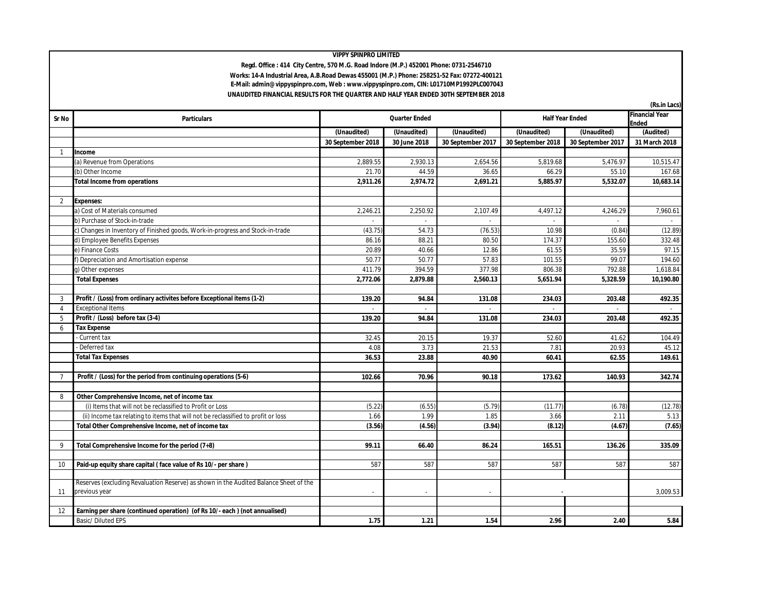## **VIPPY SPINPRO LIMITED**

 **Regd. Office : 414 City Centre, 570 M.G. Road Indore (M.P.) 452001 Phone: 0731-2546710 Works: 14-A Industrial Area, A.B.Road Dewas 455001 (M.P.) Phone: 258251-52 Fax: 07272-400121 E-Mail: admin@vippyspinpro.com, Web : www.vippyspinpro.com, CIN: L01710MP1992PLC007043 UNAUDITED FINANCIAL RESULTS FOR THE QUARTER AND HALF YEAR ENDED 30TH SEPTEMBER 2018**

| Sr No          | <b>Particulars</b>                                                                    | <b>Quarter Ended</b> |                | <b>Half Year Ended</b> |                   | <b>Financial Year</b><br><b>Ended</b> |               |
|----------------|---------------------------------------------------------------------------------------|----------------------|----------------|------------------------|-------------------|---------------------------------------|---------------|
|                |                                                                                       | (Unaudited)          | (Unaudited)    | (Unaudited)            | (Unaudited)       | (Unaudited)                           | (Audited)     |
|                |                                                                                       | 30 September 2018    | 30 June 2018   | 30 September 2017      | 30 September 2018 | 30 September 2017                     | 31 March 2018 |
| $\mathbf{1}$   | Income                                                                                |                      |                |                        |                   |                                       |               |
|                | (a) Revenue from Operations                                                           | 2,889.55             | 2,930.13       | 2,654.56               | 5,819.68          | 5,476.97                              | 10,515.47     |
|                | (b) Other Income                                                                      | 21.70                | 44.59          | 36.65                  | 66.29             | 55.10                                 | 167.68        |
|                | <b>Total Income from operations</b>                                                   | 2,911.26             | 2,974.72       | 2,691.21               | 5,885.97          | 5,532.07                              | 10,683.14     |
|                |                                                                                       |                      |                |                        |                   |                                       |               |
| $\overline{2}$ | <b>Expenses:</b>                                                                      |                      |                |                        |                   |                                       |               |
|                | a) Cost of Materials consumed                                                         | 2,246.21             | 2,250.92       | 2,107.49               | 4,497.12          | 4,246.29                              | 7,960.61      |
|                | b) Purchase of Stock-in-trade                                                         | $\sim$               | $\overline{a}$ | $\overline{a}$         | $\mathcal{L}$     | $\sim$                                | $\sim$        |
|                | c) Changes in Inventory of Finished goods, Work-in-progress and Stock-in-trade        | (43.75)              | 54.73          | (76.53)                | 10.98             | (0.84)                                | (12.89)       |
|                | d) Employee Benefits Expenses                                                         | 86.16                | 88.21          | 80.50                  | 174.37            | 155.60                                | 332.48        |
|                | e) Finance Costs                                                                      | 20.89                | 40.66          | 12.86                  | 61.55             | 35.59                                 | 97.15         |
|                | f) Depreciation and Amortisation expense                                              | 50.77                | 50.77          | 57.83                  | 101.55            | 99.07                                 | 194.60        |
|                | g) Other expenses                                                                     | 411.79               | 394.59         | 377.98                 | 806.38            | 792.88                                | 1.618.84      |
|                | <b>Total Expenses</b>                                                                 | 2,772.06             | 2,879.88       | 2,560.13               | 5,651.94          | 5,328.59                              | 10,190.80     |
|                |                                                                                       |                      |                |                        |                   |                                       |               |
| 3              | Profit / (Loss) from ordinary activites before Exceptional items (1-2)                | 139.20               | 94.84          | 131.08                 | 234.03            | 203.48                                | 492.35        |
| $\overline{4}$ | <b>Exceptional Items</b>                                                              |                      |                |                        |                   |                                       |               |
| 5              | Profit / (Loss) before tax (3-4)                                                      | 139.20               | 94.84          | 131.08                 | 234.03            | 203.48                                | 492.35        |
| 6              | <b>Tax Expense</b>                                                                    |                      |                |                        |                   |                                       |               |
|                | Current tax                                                                           | 32.45                | 20.15          | 19.37                  | 52.60             | 41.62                                 | 104.49        |
|                | Deferred tax                                                                          | 4.08                 | 3.73           | 21.53                  | 7.81              | 20.93                                 | 45.12         |
|                | <b>Total Tax Expenses</b>                                                             | 36.53                | 23.88          | 40.90                  | 60.41             | 62.55                                 | 149.61        |
|                |                                                                                       |                      |                |                        |                   |                                       |               |
| $\overline{7}$ | Profit / (Loss) for the period from continuing operations (5-6)                       | 102.66               | 70.96          | 90.18                  | 173.62            | 140.93                                | 342.74        |
|                |                                                                                       |                      |                |                        |                   |                                       |               |
| 8              | Other Comprehensive Income, net of income tax                                         |                      |                |                        |                   |                                       |               |
|                | (i) Items that will not be reclassified to Profit or Loss                             | (5.22)               | (6.55)         | (5.79)                 | (11.77)           | (6.78)                                | (12.78)       |
|                | (ii) Income tax relating to items that will not be reclassified to profit or loss     | 1.66                 | 1.99           | 1.85                   | 3.66              | 2.11                                  | 5.13          |
|                | Total Other Comprehensive Income, net of income tax                                   | (3.56)               | (4.56)         | (3.94)                 | (8.12)            | (4.67)                                | (7.65)        |
|                |                                                                                       |                      |                |                        |                   |                                       |               |
| 9              | Total Comprehensive Income for the period (7+8)                                       | 99.11                | 66.40          | 86.24                  | 165.51            | 136.26                                | 335.09        |
|                |                                                                                       |                      |                |                        |                   |                                       |               |
| 10             | Paid-up equity share capital (face value of Rs 10/- per share)                        | 587                  | 587            | 587                    | 587               | 587                                   | 587           |
|                |                                                                                       |                      |                |                        |                   |                                       |               |
|                | Reserves (excluding Revaluation Reserve) as shown in the Audited Balance Sheet of the |                      |                |                        |                   |                                       |               |
| 11             | previous year                                                                         | ÷.                   | $\sim$         | ÷,                     |                   |                                       | 3,009.53      |
|                |                                                                                       |                      |                |                        |                   |                                       |               |
| 12             | Earning per share (continued operation) (of Rs 10/- each) (not annualised)            |                      |                |                        |                   |                                       |               |
|                | Basic/Diluted EPS                                                                     | 1.75                 | 1.21           | 1.54                   | 2.96              | 2.40                                  | 5.84          |

**(Rs.in Lacs)**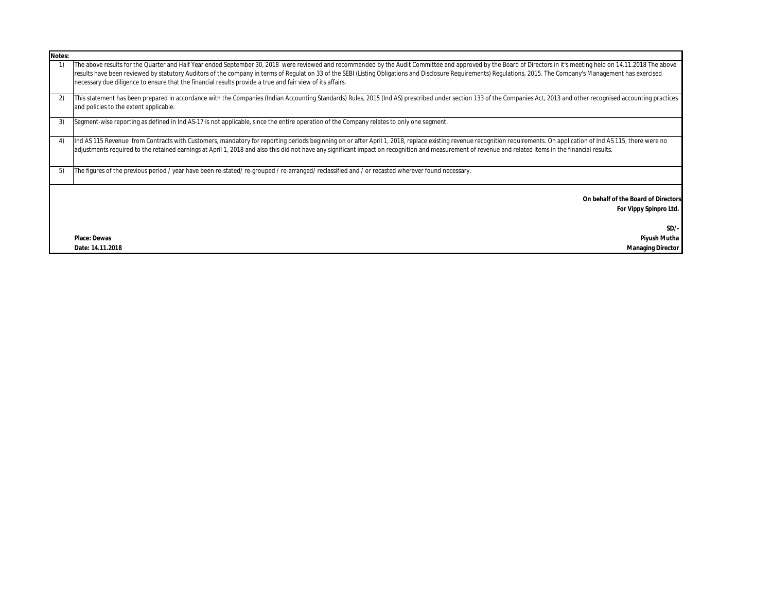| Notes: |                                                                                                                                                                                                                                                                                                                                                                                                                                                                                                                                                     |
|--------|-----------------------------------------------------------------------------------------------------------------------------------------------------------------------------------------------------------------------------------------------------------------------------------------------------------------------------------------------------------------------------------------------------------------------------------------------------------------------------------------------------------------------------------------------------|
|        | The above results for the Quarter and Half Year ended September 30, 2018 were reviewed and recommended by the Audit Committee and approved by the Board of Directors in it's meeting held on 14.11.2018 The above<br>results have been reviewed by statutory Auditors of the company in terms of Regulation 33 of the SEBI (Listing Obligations and Disclosure Requirements) Regulations, 2015. The Company's Management has exercised<br>necessary due diligence to ensure that the financial results provide a true and fair view of its affairs. |
| 2)     | This statement has been prepared in accordance with the Companies (Indian Accounting Standards) Rules, 2015 (Ind AS) prescribed under section 133 of the Companies Act, 2013 and other recognised accounting practices<br>and policies to the extent applicable.                                                                                                                                                                                                                                                                                    |
| 3)     | Segment-wise reporting as defined in Ind AS-17 is not applicable, since the entire operation of the Company relates to only one segment.                                                                                                                                                                                                                                                                                                                                                                                                            |
| 4      | Ind AS 115 Revenue from Contracts with Customers, mandatory for reporting periods beginning on or after April 1, 2018, replace existing revenue recognition requirements. On application of Ind AS 115, there were no<br>adjustments required to the retained earnings at April 1, 2018 and also this did not have any significant impact on recognition and measurement of revenue and related items in the financial results.                                                                                                                     |
| 5)     | The figures of the previous period / year have been re-stated/ re-grouped / re-arranged/ reclassified and / or recasted wherever found necessary.                                                                                                                                                                                                                                                                                                                                                                                                   |
|        | On behalf of the Board of Directors<br>For Vippy Spinpro Ltd.                                                                                                                                                                                                                                                                                                                                                                                                                                                                                       |
|        | $SD/-$                                                                                                                                                                                                                                                                                                                                                                                                                                                                                                                                              |
|        | <b>Place: Dewas</b><br>Piyush Mutha                                                                                                                                                                                                                                                                                                                                                                                                                                                                                                                 |
|        | Date: 14.11.2018<br><b>Managing Director</b>                                                                                                                                                                                                                                                                                                                                                                                                                                                                                                        |